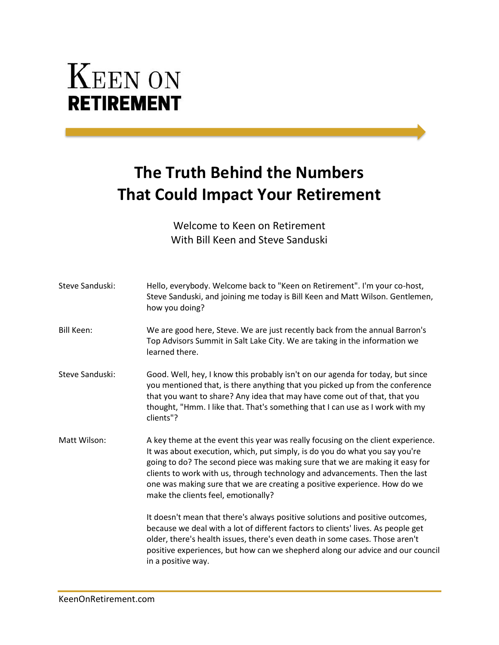## **KEEN ON RETIREMENT**

## **The Truth Behind the Numbers That Could Impact Your Retirement**

Welcome to Keen on Retirement With Bill Keen and Steve Sanduski

| Steve Sanduski:   | Hello, everybody. Welcome back to "Keen on Retirement". I'm your co-host,<br>Steve Sanduski, and joining me today is Bill Keen and Matt Wilson. Gentlemen,<br>how you doing?                                                                                                                                                                                                                                                                       |
|-------------------|----------------------------------------------------------------------------------------------------------------------------------------------------------------------------------------------------------------------------------------------------------------------------------------------------------------------------------------------------------------------------------------------------------------------------------------------------|
| <b>Bill Keen:</b> | We are good here, Steve. We are just recently back from the annual Barron's<br>Top Advisors Summit in Salt Lake City. We are taking in the information we<br>learned there.                                                                                                                                                                                                                                                                        |
| Steve Sanduski:   | Good. Well, hey, I know this probably isn't on our agenda for today, but since<br>you mentioned that, is there anything that you picked up from the conference<br>that you want to share? Any idea that may have come out of that, that you<br>thought, "Hmm. I like that. That's something that I can use as I work with my<br>clients"?                                                                                                          |
| Matt Wilson:      | A key theme at the event this year was really focusing on the client experience.<br>It was about execution, which, put simply, is do you do what you say you're<br>going to do? The second piece was making sure that we are making it easy for<br>clients to work with us, through technology and advancements. Then the last<br>one was making sure that we are creating a positive experience. How do we<br>make the clients feel, emotionally? |
|                   | It doesn't mean that there's always positive solutions and positive outcomes,<br>because we deal with a lot of different factors to clients' lives. As people get<br>older, there's health issues, there's even death in some cases. Those aren't<br>positive experiences, but how can we shepherd along our advice and our council<br>in a positive way.                                                                                          |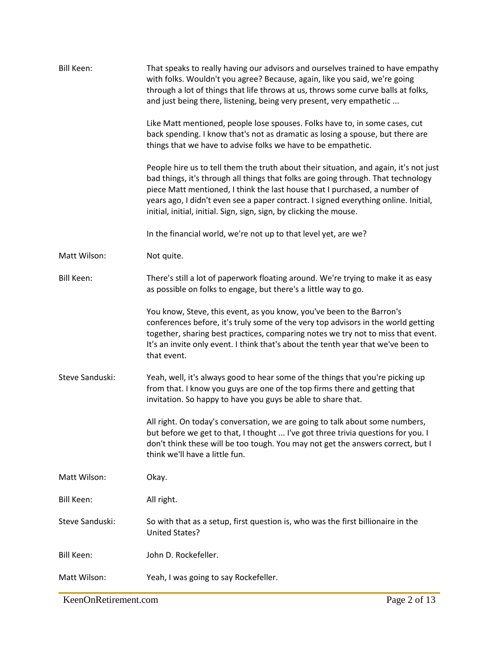| <b>Bill Keen:</b> | That speaks to really having our advisors and ourselves trained to have empathy<br>with folks. Wouldn't you agree? Because, again, like you said, we're going<br>through a lot of things that life throws at us, throws some curve balls at folks,<br>and just being there, listening, being very present, very empathetic<br>Like Matt mentioned, people lose spouses. Folks have to, in some cases, cut<br>back spending. I know that's not as dramatic as losing a spouse, but there are<br>things that we have to advise folks we have to be empathetic.<br>People hire us to tell them the truth about their situation, and again, it's not just<br>bad things, it's through all things that folks are going through. That technology<br>piece Matt mentioned, I think the last house that I purchased, a number of<br>years ago, I didn't even see a paper contract. I signed everything online. Initial,<br>initial, initial, initial. Sign, sign, sign, by clicking the mouse.<br>In the financial world, we're not up to that level yet, are we? |
|-------------------|-----------------------------------------------------------------------------------------------------------------------------------------------------------------------------------------------------------------------------------------------------------------------------------------------------------------------------------------------------------------------------------------------------------------------------------------------------------------------------------------------------------------------------------------------------------------------------------------------------------------------------------------------------------------------------------------------------------------------------------------------------------------------------------------------------------------------------------------------------------------------------------------------------------------------------------------------------------------------------------------------------------------------------------------------------------|
| Matt Wilson:      | Not quite.                                                                                                                                                                                                                                                                                                                                                                                                                                                                                                                                                                                                                                                                                                                                                                                                                                                                                                                                                                                                                                                |
| <b>Bill Keen:</b> | There's still a lot of paperwork floating around. We're trying to make it as easy<br>as possible on folks to engage, but there's a little way to go.                                                                                                                                                                                                                                                                                                                                                                                                                                                                                                                                                                                                                                                                                                                                                                                                                                                                                                      |
|                   | You know, Steve, this event, as you know, you've been to the Barron's<br>conferences before, it's truly some of the very top advisors in the world getting<br>together, sharing best practices, comparing notes we try not to miss that event.<br>It's an invite only event. I think that's about the tenth year that we've been to<br>that event.                                                                                                                                                                                                                                                                                                                                                                                                                                                                                                                                                                                                                                                                                                        |
| Steve Sanduski:   | Yeah, well, it's always good to hear some of the things that you're picking up<br>from that. I know you guys are one of the top firms there and getting that<br>invitation. So happy to have you guys be able to share that.                                                                                                                                                                                                                                                                                                                                                                                                                                                                                                                                                                                                                                                                                                                                                                                                                              |
|                   | All right. On today's conversation, we are going to talk about some numbers,<br>but before we get to that, I thought  I've got three trivia questions for you. I<br>don't think these will be too tough. You may not get the answers correct, but I<br>think we'll have a little fun.                                                                                                                                                                                                                                                                                                                                                                                                                                                                                                                                                                                                                                                                                                                                                                     |
| Matt Wilson:      | Okay.                                                                                                                                                                                                                                                                                                                                                                                                                                                                                                                                                                                                                                                                                                                                                                                                                                                                                                                                                                                                                                                     |
| Bill Keen:        | All right.                                                                                                                                                                                                                                                                                                                                                                                                                                                                                                                                                                                                                                                                                                                                                                                                                                                                                                                                                                                                                                                |
| Steve Sanduski:   | So with that as a setup, first question is, who was the first billionaire in the<br>United States?                                                                                                                                                                                                                                                                                                                                                                                                                                                                                                                                                                                                                                                                                                                                                                                                                                                                                                                                                        |
| <b>Bill Keen:</b> | John D. Rockefeller.                                                                                                                                                                                                                                                                                                                                                                                                                                                                                                                                                                                                                                                                                                                                                                                                                                                                                                                                                                                                                                      |
| Matt Wilson:      | Yeah, I was going to say Rockefeller.                                                                                                                                                                                                                                                                                                                                                                                                                                                                                                                                                                                                                                                                                                                                                                                                                                                                                                                                                                                                                     |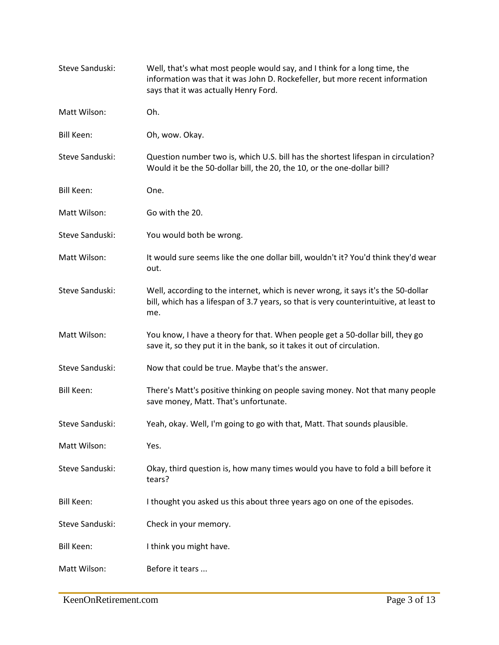| Steve Sanduski:   | Well, that's what most people would say, and I think for a long time, the<br>information was that it was John D. Rockefeller, but more recent information<br>says that it was actually Henry Ford. |
|-------------------|----------------------------------------------------------------------------------------------------------------------------------------------------------------------------------------------------|
| Matt Wilson:      | Oh.                                                                                                                                                                                                |
| <b>Bill Keen:</b> | Oh, wow. Okay.                                                                                                                                                                                     |
| Steve Sanduski:   | Question number two is, which U.S. bill has the shortest lifespan in circulation?<br>Would it be the 50-dollar bill, the 20, the 10, or the one-dollar bill?                                       |
| <b>Bill Keen:</b> | One.                                                                                                                                                                                               |
| Matt Wilson:      | Go with the 20.                                                                                                                                                                                    |
| Steve Sanduski:   | You would both be wrong.                                                                                                                                                                           |
| Matt Wilson:      | It would sure seems like the one dollar bill, wouldn't it? You'd think they'd wear<br>out.                                                                                                         |
| Steve Sanduski:   | Well, according to the internet, which is never wrong, it says it's the 50-dollar<br>bill, which has a lifespan of 3.7 years, so that is very counterintuitive, at least to<br>me.                 |
| Matt Wilson:      | You know, I have a theory for that. When people get a 50-dollar bill, they go<br>save it, so they put it in the bank, so it takes it out of circulation.                                           |
| Steve Sanduski:   | Now that could be true. Maybe that's the answer.                                                                                                                                                   |
| <b>Bill Keen:</b> | There's Matt's positive thinking on people saving money. Not that many people<br>save money, Matt. That's unfortunate.                                                                             |
| Steve Sanduski:   | Yeah, okay. Well, I'm going to go with that, Matt. That sounds plausible.                                                                                                                          |
| Matt Wilson:      | Yes.                                                                                                                                                                                               |
| Steve Sanduski:   | Okay, third question is, how many times would you have to fold a bill before it<br>tears?                                                                                                          |
| <b>Bill Keen:</b> | I thought you asked us this about three years ago on one of the episodes.                                                                                                                          |
| Steve Sanduski:   | Check in your memory.                                                                                                                                                                              |
| <b>Bill Keen:</b> | I think you might have.                                                                                                                                                                            |
| Matt Wilson:      | Before it tears                                                                                                                                                                                    |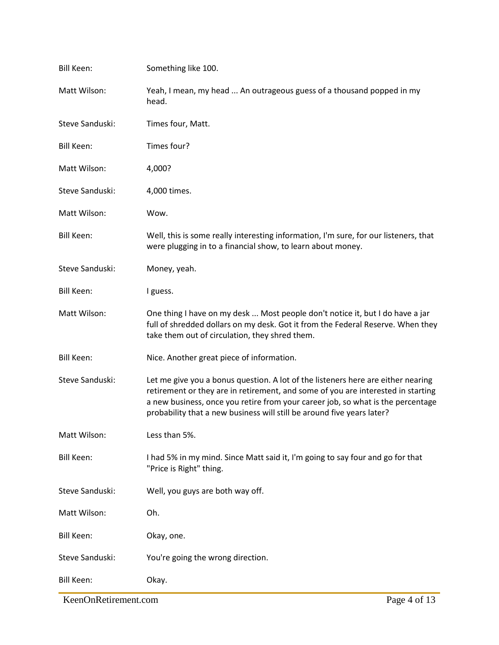| <b>Bill Keen:</b> | Something like 100.                                                                                                                                                                                                                                                                                                               |
|-------------------|-----------------------------------------------------------------------------------------------------------------------------------------------------------------------------------------------------------------------------------------------------------------------------------------------------------------------------------|
| Matt Wilson:      | Yeah, I mean, my head  An outrageous guess of a thousand popped in my<br>head.                                                                                                                                                                                                                                                    |
| Steve Sanduski:   | Times four, Matt.                                                                                                                                                                                                                                                                                                                 |
| <b>Bill Keen:</b> | Times four?                                                                                                                                                                                                                                                                                                                       |
| Matt Wilson:      | 4,000?                                                                                                                                                                                                                                                                                                                            |
| Steve Sanduski:   | 4,000 times.                                                                                                                                                                                                                                                                                                                      |
| Matt Wilson:      | Wow.                                                                                                                                                                                                                                                                                                                              |
| <b>Bill Keen:</b> | Well, this is some really interesting information, I'm sure, for our listeners, that<br>were plugging in to a financial show, to learn about money.                                                                                                                                                                               |
| Steve Sanduski:   | Money, yeah.                                                                                                                                                                                                                                                                                                                      |
| <b>Bill Keen:</b> | I guess.                                                                                                                                                                                                                                                                                                                          |
| Matt Wilson:      | One thing I have on my desk  Most people don't notice it, but I do have a jar<br>full of shredded dollars on my desk. Got it from the Federal Reserve. When they<br>take them out of circulation, they shred them.                                                                                                                |
| <b>Bill Keen:</b> | Nice. Another great piece of information.                                                                                                                                                                                                                                                                                         |
| Steve Sanduski:   | Let me give you a bonus question. A lot of the listeners here are either nearing<br>retirement or they are in retirement, and some of you are interested in starting<br>a new business, once you retire from your career job, so what is the percentage<br>probability that a new business will still be around five years later? |
| Matt Wilson:      | Less than 5%.                                                                                                                                                                                                                                                                                                                     |
| <b>Bill Keen:</b> | I had 5% in my mind. Since Matt said it, I'm going to say four and go for that<br>"Price is Right" thing.                                                                                                                                                                                                                         |
| Steve Sanduski:   | Well, you guys are both way off.                                                                                                                                                                                                                                                                                                  |
| Matt Wilson:      | Oh.                                                                                                                                                                                                                                                                                                                               |
| <b>Bill Keen:</b> | Okay, one.                                                                                                                                                                                                                                                                                                                        |
| Steve Sanduski:   | You're going the wrong direction.                                                                                                                                                                                                                                                                                                 |
| <b>Bill Keen:</b> | Okay.                                                                                                                                                                                                                                                                                                                             |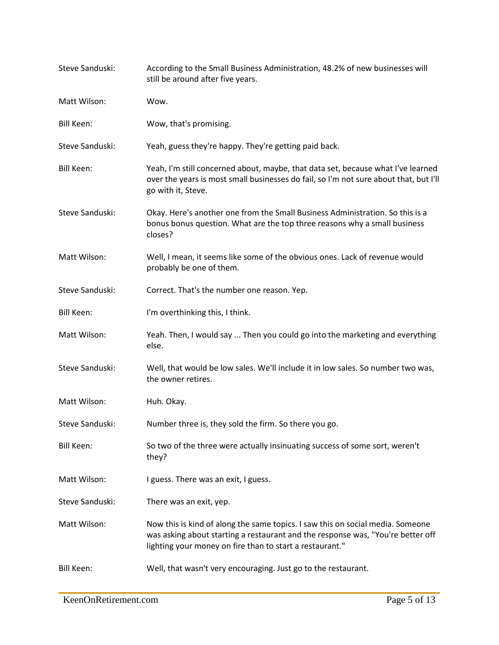| Steve Sanduski:   | According to the Small Business Administration, 48.2% of new businesses will<br>still be around after five years.                                                                                                             |
|-------------------|-------------------------------------------------------------------------------------------------------------------------------------------------------------------------------------------------------------------------------|
| Matt Wilson:      | Wow.                                                                                                                                                                                                                          |
| <b>Bill Keen:</b> | Wow, that's promising.                                                                                                                                                                                                        |
| Steve Sanduski:   | Yeah, guess they're happy. They're getting paid back.                                                                                                                                                                         |
| Bill Keen:        | Yeah, I'm still concerned about, maybe, that data set, because what I've learned<br>over the years is most small businesses do fail, so I'm not sure about that, but I'll<br>go with it, Steve.                               |
| Steve Sanduski:   | Okay. Here's another one from the Small Business Administration. So this is a<br>bonus bonus question. What are the top three reasons why a small business<br>closes?                                                         |
| Matt Wilson:      | Well, I mean, it seems like some of the obvious ones. Lack of revenue would<br>probably be one of them.                                                                                                                       |
| Steve Sanduski:   | Correct. That's the number one reason. Yep.                                                                                                                                                                                   |
| <b>Bill Keen:</b> | I'm overthinking this, I think.                                                                                                                                                                                               |
| Matt Wilson:      | Yeah. Then, I would say  Then you could go into the marketing and everything<br>else.                                                                                                                                         |
| Steve Sanduski:   | Well, that would be low sales. We'll include it in low sales. So number two was,<br>the owner retires.                                                                                                                        |
| Matt Wilson:      | Huh. Okay.                                                                                                                                                                                                                    |
| Steve Sanduski:   | Number three is, they sold the firm. So there you go.                                                                                                                                                                         |
| <b>Bill Keen:</b> | So two of the three were actually insinuating success of some sort, weren't<br>they?                                                                                                                                          |
| Matt Wilson:      | I guess. There was an exit, I guess.                                                                                                                                                                                          |
| Steve Sanduski:   | There was an exit, yep.                                                                                                                                                                                                       |
| Matt Wilson:      | Now this is kind of along the same topics. I saw this on social media. Someone<br>was asking about starting a restaurant and the response was, "You're better off<br>lighting your money on fire than to start a restaurant." |
| <b>Bill Keen:</b> | Well, that wasn't very encouraging. Just go to the restaurant.                                                                                                                                                                |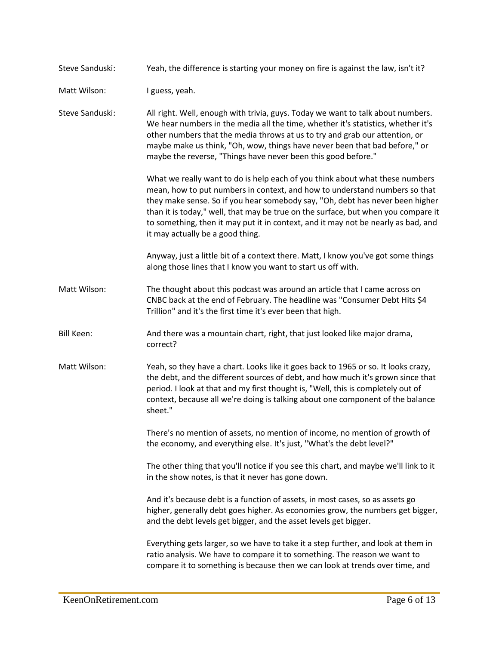Steve Sanduski: Yeah, the difference is starting your money on fire is against the law, isn't it?

Matt Wilson: I guess, yeah.

Steve Sanduski: All right. Well, enough with trivia, guys. Today we want to talk about numbers. We hear numbers in the media all the time, whether it's statistics, whether it's other numbers that the media throws at us to try and grab our attention, or maybe make us think, "Oh, wow, things have never been that bad before," or maybe the reverse, "Things have never been this good before."

> What we really want to do is help each of you think about what these numbers mean, how to put numbers in context, and how to understand numbers so that they make sense. So if you hear somebody say, "Oh, debt has never been higher than it is today," well, that may be true on the surface, but when you compare it to something, then it may put it in context, and it may not be nearly as bad, and it may actually be a good thing.

Anyway, just a little bit of a context there. Matt, I know you've got some things along those lines that I know you want to start us off with.

Matt Wilson: The thought about this podcast was around an article that I came across on CNBC back at the end of February. The headline was "Consumer Debt Hits \$4 Trillion" and it's the first time it's ever been that high.

- Bill Keen: And there was a mountain chart, right, that just looked like major drama, correct?
- Matt Wilson: Yeah, so they have a chart. Looks like it goes back to 1965 or so. It looks crazy, the debt, and the different sources of debt, and how much it's grown since that period. I look at that and my first thought is, "Well, this is completely out of context, because all we're doing is talking about one component of the balance sheet."

There's no mention of assets, no mention of income, no mention of growth of the economy, and everything else. It's just, "What's the debt level?"

The other thing that you'll notice if you see this chart, and maybe we'll link to it in the show notes, is that it never has gone down.

And it's because debt is a function of assets, in most cases, so as assets go higher, generally debt goes higher. As economies grow, the numbers get bigger, and the debt levels get bigger, and the asset levels get bigger.

Everything gets larger, so we have to take it a step further, and look at them in ratio analysis. We have to compare it to something. The reason we want to compare it to something is because then we can look at trends over time, and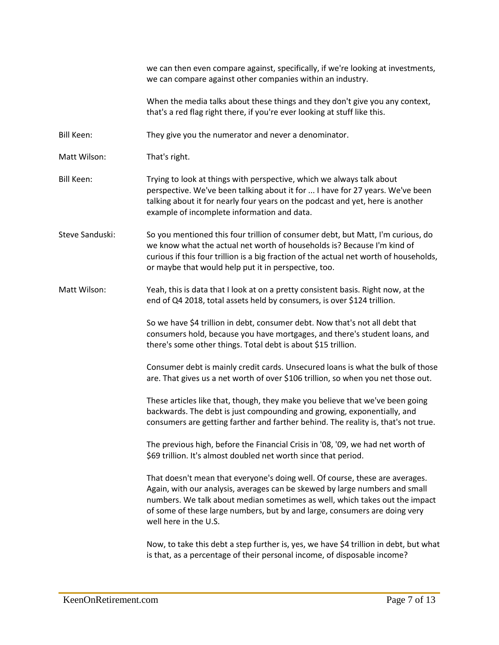|                   | we can then even compare against, specifically, if we're looking at investments,<br>we can compare against other companies within an industry.                                                                                                                                                                                                    |
|-------------------|---------------------------------------------------------------------------------------------------------------------------------------------------------------------------------------------------------------------------------------------------------------------------------------------------------------------------------------------------|
|                   | When the media talks about these things and they don't give you any context,<br>that's a red flag right there, if you're ever looking at stuff like this.                                                                                                                                                                                         |
| <b>Bill Keen:</b> | They give you the numerator and never a denominator.                                                                                                                                                                                                                                                                                              |
| Matt Wilson:      | That's right.                                                                                                                                                                                                                                                                                                                                     |
| <b>Bill Keen:</b> | Trying to look at things with perspective, which we always talk about<br>perspective. We've been talking about it for  I have for 27 years. We've been<br>talking about it for nearly four years on the podcast and yet, here is another<br>example of incomplete information and data.                                                           |
| Steve Sanduski:   | So you mentioned this four trillion of consumer debt, but Matt, I'm curious, do<br>we know what the actual net worth of households is? Because I'm kind of<br>curious if this four trillion is a big fraction of the actual net worth of households,<br>or maybe that would help put it in perspective, too.                                      |
| Matt Wilson:      | Yeah, this is data that I look at on a pretty consistent basis. Right now, at the<br>end of Q4 2018, total assets held by consumers, is over \$124 trillion.                                                                                                                                                                                      |
|                   | So we have \$4 trillion in debt, consumer debt. Now that's not all debt that<br>consumers hold, because you have mortgages, and there's student loans, and<br>there's some other things. Total debt is about \$15 trillion.                                                                                                                       |
|                   | Consumer debt is mainly credit cards. Unsecured loans is what the bulk of those<br>are. That gives us a net worth of over \$106 trillion, so when you net those out.                                                                                                                                                                              |
|                   | These articles like that, though, they make you believe that we've been going<br>backwards. The debt is just compounding and growing, exponentially, and<br>consumers are getting farther and farther behind. The reality is, that's not true.                                                                                                    |
|                   | The previous high, before the Financial Crisis in '08, '09, we had net worth of<br>\$69 trillion. It's almost doubled net worth since that period.                                                                                                                                                                                                |
|                   | That doesn't mean that everyone's doing well. Of course, these are averages.<br>Again, with our analysis, averages can be skewed by large numbers and small<br>numbers. We talk about median sometimes as well, which takes out the impact<br>of some of these large numbers, but by and large, consumers are doing very<br>well here in the U.S. |
|                   | Now, to take this debt a step further is, yes, we have \$4 trillion in debt, but what                                                                                                                                                                                                                                                             |

is that, as a percentage of their personal income, of disposable income?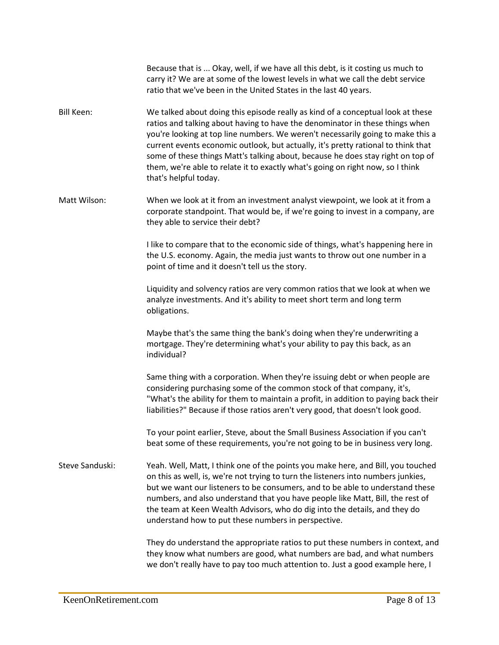|                   | Because that is  Okay, well, if we have all this debt, is it costing us much to<br>carry it? We are at some of the lowest levels in what we call the debt service<br>ratio that we've been in the United States in the last 40 years.                                                                                                                                                                                                                                                                                                 |
|-------------------|---------------------------------------------------------------------------------------------------------------------------------------------------------------------------------------------------------------------------------------------------------------------------------------------------------------------------------------------------------------------------------------------------------------------------------------------------------------------------------------------------------------------------------------|
| <b>Bill Keen:</b> | We talked about doing this episode really as kind of a conceptual look at these<br>ratios and talking about having to have the denominator in these things when<br>you're looking at top line numbers. We weren't necessarily going to make this a<br>current events economic outlook, but actually, it's pretty rational to think that<br>some of these things Matt's talking about, because he does stay right on top of<br>them, we're able to relate it to exactly what's going on right now, so I think<br>that's helpful today. |
| Matt Wilson:      | When we look at it from an investment analyst viewpoint, we look at it from a<br>corporate standpoint. That would be, if we're going to invest in a company, are<br>they able to service their debt?                                                                                                                                                                                                                                                                                                                                  |
|                   | I like to compare that to the economic side of things, what's happening here in<br>the U.S. economy. Again, the media just wants to throw out one number in a<br>point of time and it doesn't tell us the story.                                                                                                                                                                                                                                                                                                                      |
|                   | Liquidity and solvency ratios are very common ratios that we look at when we<br>analyze investments. And it's ability to meet short term and long term<br>obligations.                                                                                                                                                                                                                                                                                                                                                                |
|                   | Maybe that's the same thing the bank's doing when they're underwriting a<br>mortgage. They're determining what's your ability to pay this back, as an<br>individual?                                                                                                                                                                                                                                                                                                                                                                  |
|                   | Same thing with a corporation. When they're issuing debt or when people are<br>considering purchasing some of the common stock of that company, it's,<br>"What's the ability for them to maintain a profit, in addition to paying back their<br>liabilities?" Because if those ratios aren't very good, that doesn't look good.                                                                                                                                                                                                       |
|                   | To your point earlier, Steve, about the Small Business Association if you can't<br>beat some of these requirements, you're not going to be in business very long.                                                                                                                                                                                                                                                                                                                                                                     |
| Steve Sanduski:   | Yeah. Well, Matt, I think one of the points you make here, and Bill, you touched<br>on this as well, is, we're not trying to turn the listeners into numbers junkies,<br>but we want our listeners to be consumers, and to be able to understand these<br>numbers, and also understand that you have people like Matt, Bill, the rest of<br>the team at Keen Wealth Advisors, who do dig into the details, and they do<br>understand how to put these numbers in perspective.                                                         |
|                   | They do understand the appropriate ratios to put these numbers in context, and<br>they know what numbers are good, what numbers are bad, and what numbers<br>we don't really have to pay too much attention to. Just a good example here, I                                                                                                                                                                                                                                                                                           |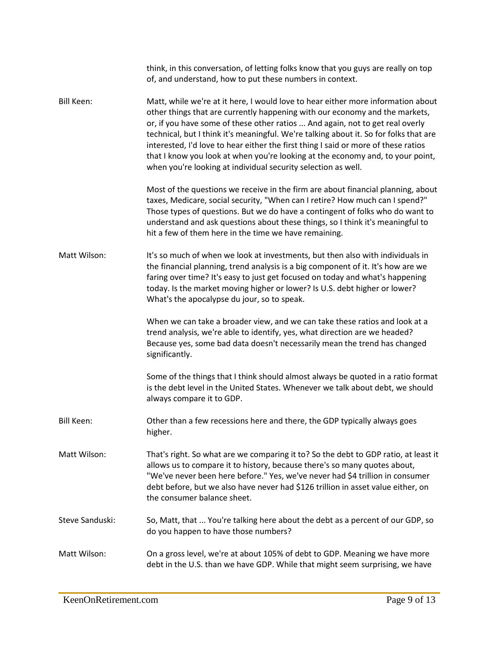|                   | think, in this conversation, of letting folks know that you guys are really on top<br>of, and understand, how to put these numbers in context.                                                                                                                                                                                                                                                                                                                                                                                                                                     |
|-------------------|------------------------------------------------------------------------------------------------------------------------------------------------------------------------------------------------------------------------------------------------------------------------------------------------------------------------------------------------------------------------------------------------------------------------------------------------------------------------------------------------------------------------------------------------------------------------------------|
| Bill Keen:        | Matt, while we're at it here, I would love to hear either more information about<br>other things that are currently happening with our economy and the markets,<br>or, if you have some of these other ratios  And again, not to get real overly<br>technical, but I think it's meaningful. We're talking about it. So for folks that are<br>interested, I'd love to hear either the first thing I said or more of these ratios<br>that I know you look at when you're looking at the economy and, to your point,<br>when you're looking at individual security selection as well. |
|                   | Most of the questions we receive in the firm are about financial planning, about<br>taxes, Medicare, social security, "When can I retire? How much can I spend?"<br>Those types of questions. But we do have a contingent of folks who do want to<br>understand and ask questions about these things, so I think it's meaningful to<br>hit a few of them here in the time we have remaining.                                                                                                                                                                                       |
| Matt Wilson:      | It's so much of when we look at investments, but then also with individuals in<br>the financial planning, trend analysis is a big component of it. It's how are we<br>faring over time? It's easy to just get focused on today and what's happening<br>today. Is the market moving higher or lower? Is U.S. debt higher or lower?<br>What's the apocalypse du jour, so to speak.                                                                                                                                                                                                   |
|                   | When we can take a broader view, and we can take these ratios and look at a<br>trend analysis, we're able to identify, yes, what direction are we headed?<br>Because yes, some bad data doesn't necessarily mean the trend has changed<br>significantly.                                                                                                                                                                                                                                                                                                                           |
|                   | Some of the things that I think should almost always be quoted in a ratio format<br>is the debt level in the United States. Whenever we talk about debt, we should<br>always compare it to GDP.                                                                                                                                                                                                                                                                                                                                                                                    |
| <b>Bill Keen:</b> | Other than a few recessions here and there, the GDP typically always goes<br>higher.                                                                                                                                                                                                                                                                                                                                                                                                                                                                                               |
| Matt Wilson:      | That's right. So what are we comparing it to? So the debt to GDP ratio, at least it<br>allows us to compare it to history, because there's so many quotes about,<br>"We've never been here before." Yes, we've never had \$4 trillion in consumer<br>debt before, but we also have never had \$126 trillion in asset value either, on<br>the consumer balance sheet.                                                                                                                                                                                                               |
| Steve Sanduski:   | So, Matt, that  You're talking here about the debt as a percent of our GDP, so<br>do you happen to have those numbers?                                                                                                                                                                                                                                                                                                                                                                                                                                                             |
| Matt Wilson:      | On a gross level, we're at about 105% of debt to GDP. Meaning we have more<br>debt in the U.S. than we have GDP. While that might seem surprising, we have                                                                                                                                                                                                                                                                                                                                                                                                                         |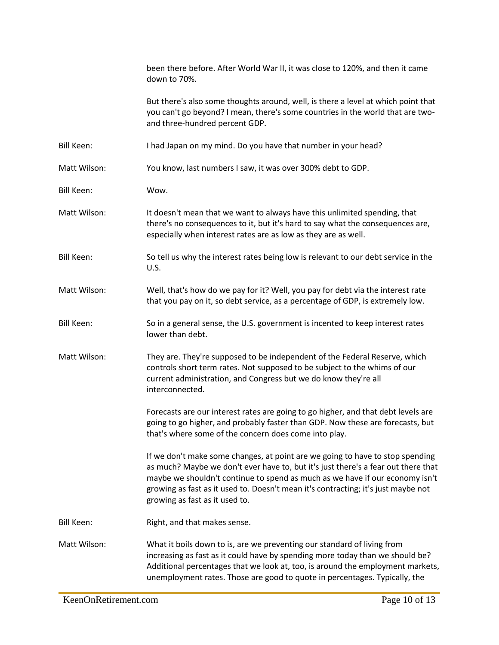|                   | been there before. After World War II, it was close to 120%, and then it came<br>down to 70%.                                                                                                                                                                                                                                                                             |
|-------------------|---------------------------------------------------------------------------------------------------------------------------------------------------------------------------------------------------------------------------------------------------------------------------------------------------------------------------------------------------------------------------|
|                   | But there's also some thoughts around, well, is there a level at which point that<br>you can't go beyond? I mean, there's some countries in the world that are two-<br>and three-hundred percent GDP.                                                                                                                                                                     |
| <b>Bill Keen:</b> | I had Japan on my mind. Do you have that number in your head?                                                                                                                                                                                                                                                                                                             |
| Matt Wilson:      | You know, last numbers I saw, it was over 300% debt to GDP.                                                                                                                                                                                                                                                                                                               |
| <b>Bill Keen:</b> | Wow.                                                                                                                                                                                                                                                                                                                                                                      |
| Matt Wilson:      | It doesn't mean that we want to always have this unlimited spending, that<br>there's no consequences to it, but it's hard to say what the consequences are,<br>especially when interest rates are as low as they are as well.                                                                                                                                             |
| <b>Bill Keen:</b> | So tell us why the interest rates being low is relevant to our debt service in the<br>U.S.                                                                                                                                                                                                                                                                                |
| Matt Wilson:      | Well, that's how do we pay for it? Well, you pay for debt via the interest rate<br>that you pay on it, so debt service, as a percentage of GDP, is extremely low.                                                                                                                                                                                                         |
| <b>Bill Keen:</b> | So in a general sense, the U.S. government is incented to keep interest rates<br>lower than debt.                                                                                                                                                                                                                                                                         |
| Matt Wilson:      | They are. They're supposed to be independent of the Federal Reserve, which<br>controls short term rates. Not supposed to be subject to the whims of our<br>current administration, and Congress but we do know they're all<br>interconnected.                                                                                                                             |
|                   | Forecasts are our interest rates are going to go higher, and that debt levels are<br>going to go higher, and probably faster than GDP. Now these are forecasts, but<br>that's where some of the concern does come into play.                                                                                                                                              |
|                   | If we don't make some changes, at point are we going to have to stop spending<br>as much? Maybe we don't ever have to, but it's just there's a fear out there that<br>maybe we shouldn't continue to spend as much as we have if our economy isn't<br>growing as fast as it used to. Doesn't mean it's contracting; it's just maybe not<br>growing as fast as it used to. |
| <b>Bill Keen:</b> | Right, and that makes sense.                                                                                                                                                                                                                                                                                                                                              |
| Matt Wilson:      | What it boils down to is, are we preventing our standard of living from<br>increasing as fast as it could have by spending more today than we should be?<br>Additional percentages that we look at, too, is around the employment markets,<br>unemployment rates. Those are good to quote in percentages. Typically, the                                                  |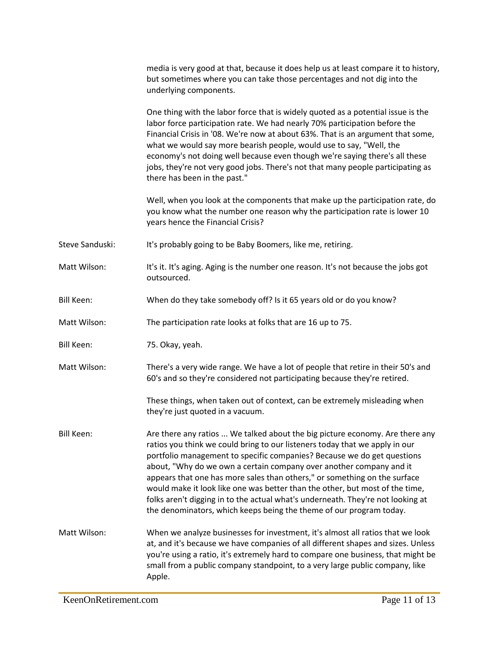|                   | media is very good at that, because it does help us at least compare it to history,<br>but sometimes where you can take those percentages and not dig into the<br>underlying components.                                                                                                                                                                                                                                                                                                                                                                                                                                             |
|-------------------|--------------------------------------------------------------------------------------------------------------------------------------------------------------------------------------------------------------------------------------------------------------------------------------------------------------------------------------------------------------------------------------------------------------------------------------------------------------------------------------------------------------------------------------------------------------------------------------------------------------------------------------|
|                   | One thing with the labor force that is widely quoted as a potential issue is the<br>labor force participation rate. We had nearly 70% participation before the<br>Financial Crisis in '08. We're now at about 63%. That is an argument that some,<br>what we would say more bearish people, would use to say, "Well, the<br>economy's not doing well because even though we're saying there's all these<br>jobs, they're not very good jobs. There's not that many people participating as<br>there has been in the past."                                                                                                           |
|                   | Well, when you look at the components that make up the participation rate, do<br>you know what the number one reason why the participation rate is lower 10<br>years hence the Financial Crisis?                                                                                                                                                                                                                                                                                                                                                                                                                                     |
| Steve Sanduski:   | It's probably going to be Baby Boomers, like me, retiring.                                                                                                                                                                                                                                                                                                                                                                                                                                                                                                                                                                           |
| Matt Wilson:      | It's it. It's aging. Aging is the number one reason. It's not because the jobs got<br>outsourced.                                                                                                                                                                                                                                                                                                                                                                                                                                                                                                                                    |
| <b>Bill Keen:</b> | When do they take somebody off? Is it 65 years old or do you know?                                                                                                                                                                                                                                                                                                                                                                                                                                                                                                                                                                   |
| Matt Wilson:      | The participation rate looks at folks that are 16 up to 75.                                                                                                                                                                                                                                                                                                                                                                                                                                                                                                                                                                          |
| <b>Bill Keen:</b> | 75. Okay, yeah.                                                                                                                                                                                                                                                                                                                                                                                                                                                                                                                                                                                                                      |
| Matt Wilson:      | There's a very wide range. We have a lot of people that retire in their 50's and<br>60's and so they're considered not participating because they're retired.                                                                                                                                                                                                                                                                                                                                                                                                                                                                        |
|                   | These things, when taken out of context, can be extremely misleading when<br>they're just quoted in a vacuum.                                                                                                                                                                                                                                                                                                                                                                                                                                                                                                                        |
| <b>Bill Keen:</b> | Are there any ratios  We talked about the big picture economy. Are there any<br>ratios you think we could bring to our listeners today that we apply in our<br>portfolio management to specific companies? Because we do get questions<br>about, "Why do we own a certain company over another company and it<br>appears that one has more sales than others," or something on the surface<br>would make it look like one was better than the other, but most of the time,<br>folks aren't digging in to the actual what's underneath. They're not looking at<br>the denominators, which keeps being the theme of our program today. |
| Matt Wilson:      | When we analyze businesses for investment, it's almost all ratios that we look<br>at, and it's because we have companies of all different shapes and sizes. Unless<br>you're using a ratio, it's extremely hard to compare one business, that might be<br>small from a public company standpoint, to a very large public company, like<br>Apple.                                                                                                                                                                                                                                                                                     |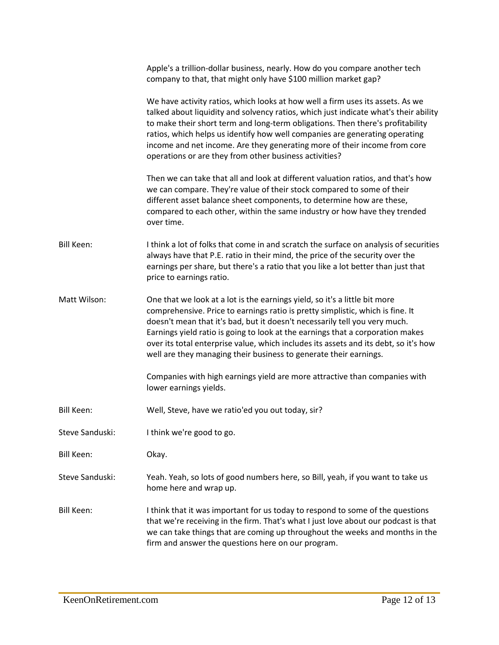|                   | Apple's a trillion-dollar business, nearly. How do you compare another tech<br>company to that, that might only have \$100 million market gap?                                                                                                                                                                                                                                                                                                                                            |
|-------------------|-------------------------------------------------------------------------------------------------------------------------------------------------------------------------------------------------------------------------------------------------------------------------------------------------------------------------------------------------------------------------------------------------------------------------------------------------------------------------------------------|
|                   | We have activity ratios, which looks at how well a firm uses its assets. As we<br>talked about liquidity and solvency ratios, which just indicate what's their ability<br>to make their short term and long-term obligations. Then there's profitability<br>ratios, which helps us identify how well companies are generating operating<br>income and net income. Are they generating more of their income from core<br>operations or are they from other business activities?            |
|                   | Then we can take that all and look at different valuation ratios, and that's how<br>we can compare. They're value of their stock compared to some of their<br>different asset balance sheet components, to determine how are these,<br>compared to each other, within the same industry or how have they trended<br>over time.                                                                                                                                                            |
| <b>Bill Keen:</b> | I think a lot of folks that come in and scratch the surface on analysis of securities<br>always have that P.E. ratio in their mind, the price of the security over the<br>earnings per share, but there's a ratio that you like a lot better than just that<br>price to earnings ratio.                                                                                                                                                                                                   |
| Matt Wilson:      | One that we look at a lot is the earnings yield, so it's a little bit more<br>comprehensive. Price to earnings ratio is pretty simplistic, which is fine. It<br>doesn't mean that it's bad, but it doesn't necessarily tell you very much.<br>Earnings yield ratio is going to look at the earnings that a corporation makes<br>over its total enterprise value, which includes its assets and its debt, so it's how<br>well are they managing their business to generate their earnings. |
|                   | Companies with high earnings yield are more attractive than companies with<br>lower earnings yields.                                                                                                                                                                                                                                                                                                                                                                                      |
| <b>Bill Keen:</b> | Well, Steve, have we ratio'ed you out today, sir?                                                                                                                                                                                                                                                                                                                                                                                                                                         |
| Steve Sanduski:   | I think we're good to go.                                                                                                                                                                                                                                                                                                                                                                                                                                                                 |
| <b>Bill Keen:</b> | Okay.                                                                                                                                                                                                                                                                                                                                                                                                                                                                                     |
| Steve Sanduski:   | Yeah. Yeah, so lots of good numbers here, so Bill, yeah, if you want to take us<br>home here and wrap up.                                                                                                                                                                                                                                                                                                                                                                                 |
| <b>Bill Keen:</b> | I think that it was important for us today to respond to some of the questions<br>that we're receiving in the firm. That's what I just love about our podcast is that<br>we can take things that are coming up throughout the weeks and months in the<br>firm and answer the questions here on our program.                                                                                                                                                                               |